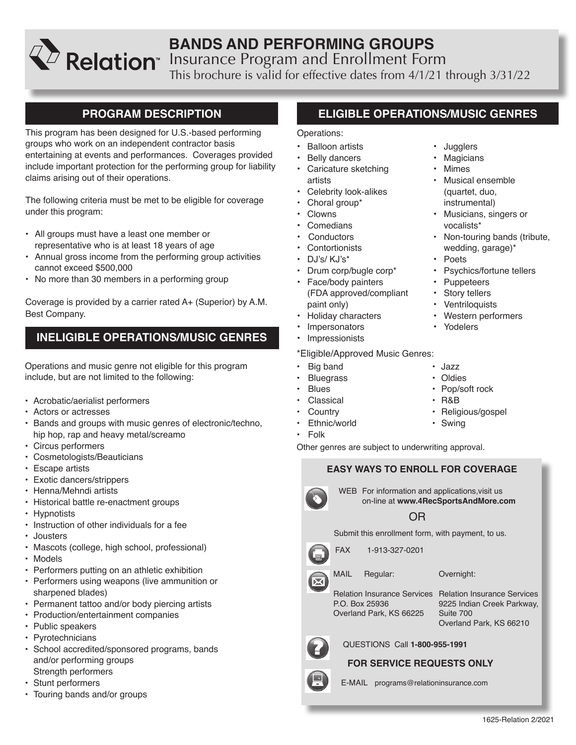

# **BANDS AND PERFORMING GROUPS** Insurance Program and Enrollment Form

This brochure is valid for effective dates from 4/1/21 through 3/31/22

# **PROGRAM DESCRIPTION**

This program has been designed for U.S.-based performing groups who work on an independent contractor basis entertaining at events and performances. Coverages provided include important protection for the performing group for liability claims arising out of their operations.

The following criteria must be met to be eligible for coverage under this program:

- All groups must have a least one member or representative who is at least 18 years of age
- Annual gross income from the performing group activities cannot exceed \$500,000
- No more than 30 members in a performing group

Coverage is provided by a carrier rated A+ (Superior) by A.M. Best Company.

# **INELIGIBLE OPERATIONS/MUSIC GENRES**

Operations and music genre not eligible for this program include, but are not limited to the following:

- Acrobatic/aerialist performers
- Actors or actresses
- Bands and groups with music genres of electronic/techno, hip hop, rap and heavy metal/screamo
- Circus performers
- Cosmetologists/Beauticians
- Escape artists
- Exotic dancers/strippers
- Henna/Mehndi artists
- Historical battle re-enactment groups
- Hypnotists
- Instruction of other individuals for a fee
- Jousters
- Mascots (college, high school, professional)
- Models
- Performers putting on an athletic exhibition
- Performers using weapons (live ammunition or sharpened blades)
- Permanent tattoo and/or body piercing artists
- Production/entertainment companies
- Public speakers
- Pyrotechnicians
- School accredited/sponsored programs, bands and/or performing groups Strength performers
- Stunt performers
- Touring bands and/or groups

# **ELIGIBLE OPERATIONS/MUSIC GENRES**

• Jugglers **Magicians Mimes** 

vocalists\*

**Puppeteers** Story tellers **Ventriloquists** • Western performers

• Poets

• Musical ensemble (quartet, duo, instrumental) • Musicians, singers or

• Non-touring bands (tribute, wedding, garage)\*

• Psychics/fortune tellers

#### Operations:

- Balloon artists
- Belly dancers
- Caricature sketching artists
- Celebrity look-alikes
- Choral group\*
- Clowns
- **Comedians**
- Conductors
- **Contortionists**
- • DJ's/ KJ's\*
- Drum corp/bugle corp\*
- Face/body painters (FDA approved/compliant paint only)
- Holiday characters
- **Impersonators**
- **Impressionists**

### \*Eligible/Approved Music Genres:

- Big band Jazz
- Bluegrass Oldies
- Blues Pop/soft rock
- Classical R&B
- 
- Ethnic/world Swing
- Folk

Other genres are subject to underwriting approval.

# **EASY WAYS TO ENROLL FOR COVERAGE**

WEB For information and applications, visit us on-line at **www.4RecSportsAndMore.com**

# OR

Submit this enrollment form, with payment, to us.



FAX 1-913-327-0201



Overnight:

P.O. Box 25936 Overland Park, KS 66225

Relation Insurance Services Relation Insurance Services 9225 Indian Creek Parkway, Suite 700 Overland Park, KS 66210



# QUESTIONS Call **1-800-955-1991**

# **FOR SERVICE REQUESTS ONLY**

E-MAIL programs@relationinsurance.com

- 
- 

• Yodelers

- 
- 
- Country Religious/gospel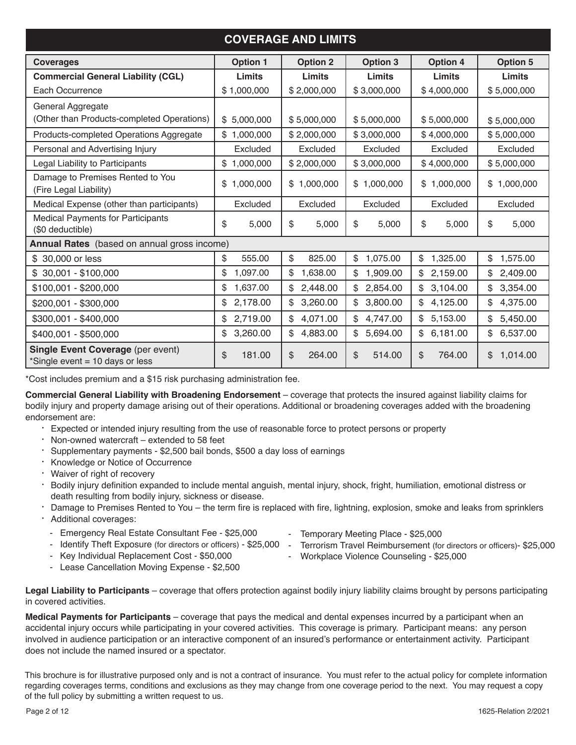# **COVERAGE AND LIMITS**

| <b>Coverages</b>                                                            | <b>Option 1</b> | <b>Option 2</b> | <b>Option 3</b>                     | <b>Option 4</b> | Option 5       |
|-----------------------------------------------------------------------------|-----------------|-----------------|-------------------------------------|-----------------|----------------|
| <b>Commercial General Liability (CGL)</b>                                   | Limits          | Limits          | Limits                              | Limits          | Limits         |
| Each Occurrence                                                             | \$1,000,000     | \$2,000,000     | \$3,000,000                         | \$4,000,000     | \$5,000,000    |
| General Aggregate                                                           |                 |                 |                                     |                 |                |
| (Other than Products-completed Operations)                                  | \$5,000,000     | \$5,000,000     | \$5,000,000                         | \$5,000,000     | \$5,000,000    |
| Products-completed Operations Aggregate                                     | \$1,000,000     | \$2,000,000     | \$3,000,000                         | \$4,000,000     | \$5,000,000    |
| Personal and Advertising Injury                                             | Excluded        | Excluded        | Excluded                            | Excluded        | Excluded       |
| Legal Liability to Participants                                             | 1,000,000<br>\$ | \$2,000,000     | \$3,000,000                         | \$4,000,000     | \$5,000,000    |
| Damage to Premises Rented to You<br>(Fire Legal Liability)                  | \$1,000,000     | \$1,000,000     | \$1,000,000                         | \$1,000,000     | \$1,000,000    |
| Medical Expense (other than participants)                                   | Excluded        | Excluded        | Excluded                            | Excluded        | Excluded       |
| <b>Medical Payments for Participants</b><br>(\$0 deductible)                | \$<br>5,000     | \$<br>5,000     | \$<br>5,000                         | \$<br>5,000     | \$<br>5,000    |
| Annual Rates (based on annual gross income)                                 |                 |                 |                                     |                 |                |
| \$ 30,000 or less                                                           | \$<br>555.00    | \$<br>825.00    | \$<br>1,075.00                      | 1,325.00<br>\$  | \$<br>1,575.00 |
| $$30,001 - $100,000$                                                        | \$<br>1,097.00  | \$<br>1,638.00  | 1,909.00<br>\$                      | 2,159.00<br>\$  | 2,409.00<br>\$ |
| \$100,001 - \$200,000                                                       | 1,637.00<br>\$  | 2,448.00<br>\$  | 2,854.00<br>\$                      | 3,104.00<br>\$  | 3,354.00<br>\$ |
| \$200,001 - \$300,000                                                       | 2,178.00<br>\$  | 3,260.00<br>\$  | 3,800.00<br>\$                      | 4,125.00<br>\$  | 4,375.00<br>\$ |
| \$300,001 - \$400,000                                                       | 2,719.00<br>\$  | 4,071.00<br>\$  | $$\tilde{\phantom{a}}$$<br>4,747.00 | \$<br>5,153.00  | 5,450.00<br>\$ |
| \$400,001 - \$500,000                                                       | 3,260.00<br>\$  | \$<br>4,883.00  | \$<br>5,694.00                      | \$<br>6,181.00  | 6,537.00<br>\$ |
| <b>Single Event Coverage (per event)</b><br>*Single event = 10 days or less | \$<br>181.00    | \$<br>264.00    | 514.00<br>\$                        | \$<br>764.00    | 1,014.00<br>\$ |

\*Cost includes premium and a \$15 risk purchasing administration fee.

**Commercial General Liability with Broadening Endorsement** – coverage that protects the insured against liability claims for bodily injury and property damage arising out of their operations. Additional or broadening coverages added with the broadening endorsement are:

- · Expected or intended injury resulting from the use of reasonable force to protect persons or property
- · Non-owned watercraft extended to 58 feet
- · Supplementary payments \$2,500 bail bonds, \$500 a day loss of earnings
- · Knowledge or Notice of Occurrence
- · Waiver of right of recovery
- · Bodily injury definition expanded to include mental anguish, mental injury, shock, fright, humiliation, emotional distress or death resulting from bodily injury, sickness or disease.
- · Damage to Premises Rented to You the term fire is replaced with fire, lightning, explosion, smoke and leaks from sprinklers
- · Additional coverages:
	- Emergency Real Estate Consultant Fee \$25,000
- Temporary Meeting Place \$25,000
- Identify Theft Exposure (for directors or officers) \$25,000 Terrorism Travel Reimbursement (for directors or officers)- \$25,000
	-
	- Key Individual Replacement Cost \$50,000 - Lease Cancellation Moving Expense - \$2,500
- Workplace Violence Counseling \$25,000
- 

**Legal Liability to Participants** – coverage that offers protection against bodily injury liability claims brought by persons participating in covered activities.

**Medical Payments for Participants** – coverage that pays the medical and dental expenses incurred by a participant when an accidental injury occurs while participating in your covered activities. This coverage is primary. Participant means: any person involved in audience participation or an interactive component of an insured's performance or entertainment activity. Participant does not include the named insured or a spectator.

This brochure is for illustrative purposed only and is not a contract of insurance. You must refer to the actual policy for complete information regarding coverages terms, conditions and exclusions as they may change from one coverage period to the next. You may request a copy of the full policy by submitting a written request to us.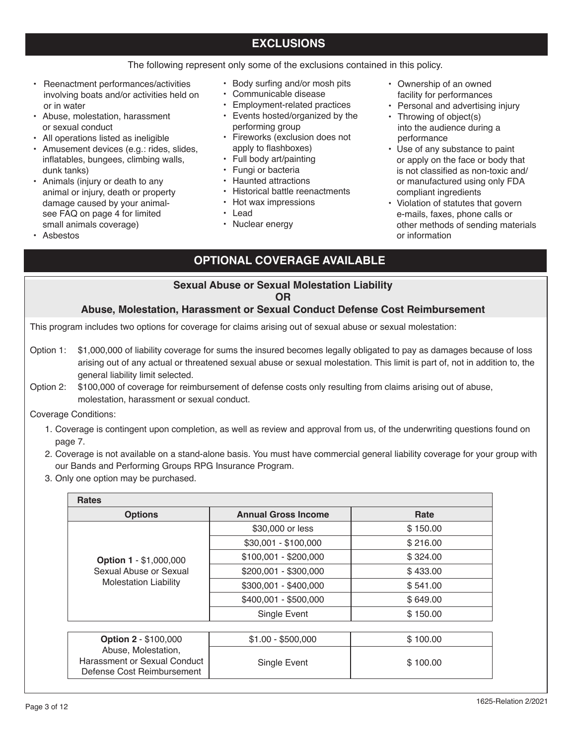# **EXCLUSIONS**

#### The following represent only some of the exclusions contained in this policy.

- Reenactment performances/activities involving boats and/or activities held on or in water
- Abuse, molestation, harassment or sexual conduct
- All operations listed as ineligible
- Amusement devices (e.g.: rides, slides, inflatables, bungees, climbing walls, dunk tanks)
- Animals (injury or death to any animal or injury, death or property damage caused by your animalsee FAQ on page 4 for limited small animals coverage) • Asbestos
- • Body surfing and/or mosh pits
- Communicable disease
- Employment-related practices
- Events hosted/organized by the performing group
- Fireworks (exclusion does not apply to flashboxes)
- Full body art/painting
- Fungi or bacteria
- Haunted attractions
- Historical battle reenactments
- Hot wax impressions
- Lead
- Nuclear energy
- Ownership of an owned facility for performances
- Personal and advertising injury
- Throwing of object(s) into the audience during a performance
- Use of any substance to paint or apply on the face or body that is not classified as non-toxic and/ or manufactured using only FDA compliant ingredients
- Violation of statutes that govern e-mails, faxes, phone calls or other methods of sending materials or information

# **OPTIONAL COVERAGE AVAILABLE**

### **Sexual Abuse or Sexual Molestation Liability**

**OR**

#### **Abuse, Molestation, Harassment or Sexual Conduct Defense Cost Reimbursement**

This program includes two options for coverage for claims arising out of sexual abuse or sexual molestation:

- Option 1: \$1,000,000 of liability coverage for sums the insured becomes legally obligated to pay as damages because of loss arising out of any actual or threatened sexual abuse or sexual molestation. This limit is part of, not in addition to, the general liability limit selected.
- Option 2: \$100,000 of coverage for reimbursement of defense costs only resulting from claims arising out of abuse, molestation, harassment or sexual conduct.

Coverage Conditions:

- 1. Coverage is contingent upon completion, as well as review and approval from us, of the underwriting questions found on page 7.
- 2. Coverage is not available on a stand-alone basis. You must have commercial general liability coverage for your group with our Bands and Performing Groups RPG Insurance Program.
- 3. Only one option may be purchased.

| <b>Rates</b>                                                                      |                            |          |  |  |  |  |
|-----------------------------------------------------------------------------------|----------------------------|----------|--|--|--|--|
| <b>Options</b>                                                                    | <b>Annual Gross Income</b> | Rate     |  |  |  |  |
|                                                                                   | \$30,000 or less           | \$150.00 |  |  |  |  |
|                                                                                   | \$30,001 - \$100,000       | \$216.00 |  |  |  |  |
| <b>Option 1 - \$1,000,000</b>                                                     | $$100,001 - $200,000$      | \$324.00 |  |  |  |  |
| Sexual Abuse or Sexual                                                            | \$200,001 - \$300,000      | \$433.00 |  |  |  |  |
| <b>Molestation Liability</b>                                                      | \$300,001 - \$400,000      | \$541.00 |  |  |  |  |
|                                                                                   | \$400,001 - \$500,000      | \$649.00 |  |  |  |  |
|                                                                                   | Single Event               | \$150.00 |  |  |  |  |
|                                                                                   |                            |          |  |  |  |  |
| <b>Option 2 - \$100,000</b>                                                       | $$1.00 - $500,000$         | \$100.00 |  |  |  |  |
| Abuse, Molestation,<br>Harassment or Sexual Conduct<br>Defense Cost Reimbursement | Single Event               | \$100.00 |  |  |  |  |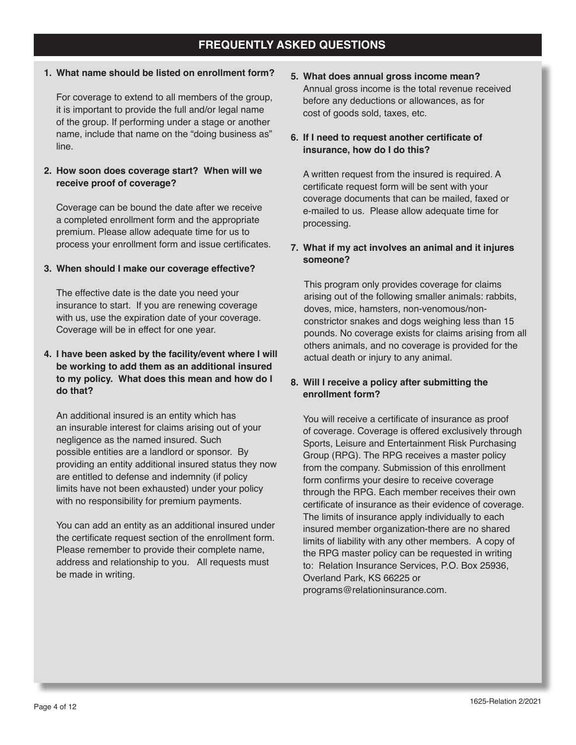# **FREQUENTLY ASKED QUESTIONS**

# **1. What name should be listed on enrollment form?**

For coverage to extend to all members of the group, it is important to provide the full and/or legal name of the group. If performing under a stage or another name, include that name on the "doing business as" line.

### **2. How soon does coverage start? When will we receive proof of coverage?**

Coverage can be bound the date after we receive a completed enrollment form and the appropriate premium. Please allow adequate time for us to process your enrollment form and issue certificates.

### **3. When should I make our coverage effective?**

The effective date is the date you need your insurance to start. If you are renewing coverage with us, use the expiration date of your coverage. Coverage will be in effect for one year.

### **4. I have been asked by the facility/event where I will be working to add them as an additional insured to my policy. What does this mean and how do I do that?**

An additional insured is an entity which has an insurable interest for claims arising out of your negligence as the named insured. Such possible entities are a landlord or sponsor. By providing an entity additional insured status they now are entitled to defense and indemnity (if policy limits have not been exhausted) under your policy with no responsibility for premium payments.

You can add an entity as an additional insured under the certificate request section of the enrollment form. Please remember to provide their complete name, address and relationship to you. All requests must be made in writing.

**5. What does annual gross income mean?**  Annual gross income is the total revenue received before any deductions or allowances, as for cost of goods sold, taxes, etc.

### **6. If I need to request another certificate of insurance, how do I do this?**

A written request from the insured is required. A certificate request form will be sent with your coverage documents that can be mailed, faxed or e-mailed to us. Please allow adequate time for processing.

### **7. What if my act involves an animal and it injures someone?**

This program only provides coverage for claims arising out of the following smaller animals: rabbits, doves, mice, hamsters, non-venomous/nonconstrictor snakes and dogs weighing less than 15 pounds. No coverage exists for claims arising from all others animals, and no coverage is provided for the actual death or injury to any animal.

## **8. Will I receive a policy after submitting the enrollment form?**

 You will receive a certificate of insurance as proof of coverage. Coverage is offered exclusively through Sports, Leisure and Entertainment Risk Purchasing Group (RPG). The RPG receives a master policy from the company. Submission of this enrollment form confirms your desire to receive coverage through the RPG. Each member receives their own certificate of insurance as their evidence of coverage. The limits of insurance apply individually to each insured member organization-there are no shared limits of liability with any other members. A copy of the RPG master policy can be requested in writing to: Relation Insurance Services, P.O. Box 25936, Overland Park, KS 66225 or programs@relationinsurance.com.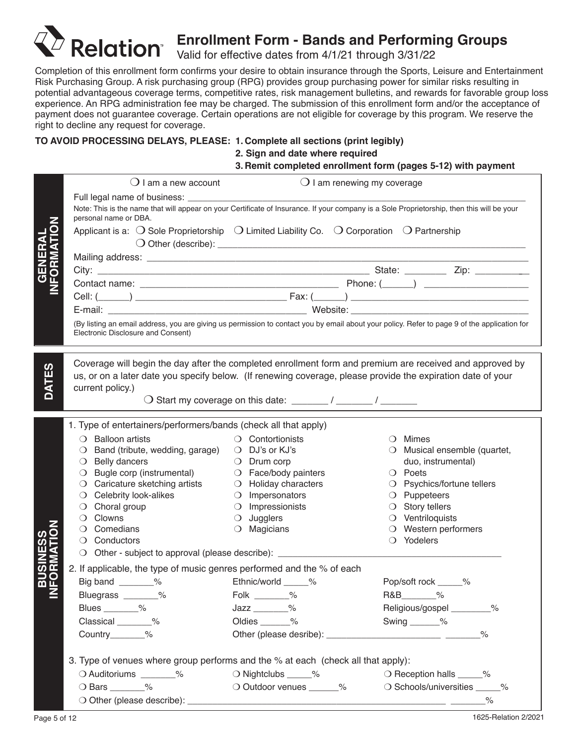

# **Enrollment Form - Bands and Performing Groups**

Valid for effective dates from 4/1/21 through 3/31/22

Completion of this enrollment form confirms your desire to obtain insurance through the Sports, Leisure and Entertainment Risk Purchasing Group. A risk purchasing group (RPG) provides group purchasing power for similar risks resulting in potential advantageous coverage terms, competitive rates, risk management bulletins, and rewards for favorable group loss experience. An RPG administration fee may be charged. The submission of this enrollment form and/or the acceptance of payment does not guarantee coverage. Certain operations are not eligible for coverage by this program. We reserve the right to decline any request for coverage.

#### **TO AVOID PROCESSING DELAYS, PLEASE: 1. Complete all sections (print legibly) 2. Sign and date where required 3. Remit completed enrollment form (pages 5-12) with payment**

|   | $\bigcup$ am a new account                                                                                                                                          | $\bigcirc$ I am renewing my coverage                                                                                                         |                                       |  |  |  |  |
|---|---------------------------------------------------------------------------------------------------------------------------------------------------------------------|----------------------------------------------------------------------------------------------------------------------------------------------|---------------------------------------|--|--|--|--|
|   | Full legal name of business: __________                                                                                                                             |                                                                                                                                              |                                       |  |  |  |  |
|   | Note: This is the name that will appear on your Certificate of Insurance. If your company is a Sole Proprietorship, then this will be your<br>personal name or DBA. |                                                                                                                                              |                                       |  |  |  |  |
|   |                                                                                                                                                                     | Applicant is a: $\bigcirc$ Sole Proprietorship $\bigcirc$ Limited Liability Co. $\bigcirc$ Corporation $\bigcirc$ Partnership                |                                       |  |  |  |  |
|   |                                                                                                                                                                     |                                                                                                                                              |                                       |  |  |  |  |
|   |                                                                                                                                                                     |                                                                                                                                              |                                       |  |  |  |  |
|   |                                                                                                                                                                     |                                                                                                                                              |                                       |  |  |  |  |
|   |                                                                                                                                                                     |                                                                                                                                              |                                       |  |  |  |  |
|   |                                                                                                                                                                     |                                                                                                                                              |                                       |  |  |  |  |
|   |                                                                                                                                                                     |                                                                                                                                              |                                       |  |  |  |  |
|   | Electronic Disclosure and Consent)                                                                                                                                  | (By listing an email address, you are giving us permission to contact you by email about your policy. Refer to page 9 of the application for |                                       |  |  |  |  |
| ഗ |                                                                                                                                                                     | Coverage will begin the day after the completed enrollment form and premium are received and approved by                                     |                                       |  |  |  |  |
| π |                                                                                                                                                                     | us, or on a later date you specify below. (If renewing coverage, please provide the expiration date of your                                  |                                       |  |  |  |  |
|   | current policy.)                                                                                                                                                    |                                                                                                                                              |                                       |  |  |  |  |
|   |                                                                                                                                                                     |                                                                                                                                              |                                       |  |  |  |  |
|   |                                                                                                                                                                     |                                                                                                                                              |                                       |  |  |  |  |
|   | 1. Type of entertainers/performers/bands (check all that apply)                                                                                                     |                                                                                                                                              |                                       |  |  |  |  |
|   | $\bigcirc$ Balloon artists                                                                                                                                          | $\bigcirc$ Contortionists<br>$\bigcirc$ Mimes                                                                                                |                                       |  |  |  |  |
|   | $\bigcirc$ Band (tribute, wedding, garage) $\bigcirc$ DJ's or KJ's                                                                                                  |                                                                                                                                              | $\bigcirc$ Musical ensemble (quartet, |  |  |  |  |
|   | $\bigcirc$ Belly dancers                                                                                                                                            | $\bigcirc$ Drum corp                                                                                                                         | duo, instrumental)                    |  |  |  |  |
|   | O Bugle corp (instrumental)<br>○ Caricature sketching artists                                                                                                       | ○ Face/body painters<br>$\bigcirc$ Poets<br>O Holiday characters                                                                             | ○ Psychics/fortune tellers            |  |  |  |  |
|   | $\bigcirc$ Celebrity look-alikes                                                                                                                                    | $\bigcirc$ Impersonators<br>$\bigcirc$ Puppeteers                                                                                            |                                       |  |  |  |  |
|   | $\bigcirc$ Choral group                                                                                                                                             | $\bigcirc$ Impressionists<br>$\bigcirc$ Story tellers                                                                                        |                                       |  |  |  |  |
|   | $\bigcirc$ Clowns                                                                                                                                                   | $\bigcirc$ Jugglers<br>$\bigcirc$ Ventriloquists                                                                                             |                                       |  |  |  |  |
|   | $\bigcirc$ Comedians                                                                                                                                                | $\bigcirc$ Magicians<br>$\bigcirc$ Western performers                                                                                        |                                       |  |  |  |  |
|   | $\bigcirc$ Conductors                                                                                                                                               | ○ Yodelers                                                                                                                                   |                                       |  |  |  |  |
|   |                                                                                                                                                                     | O Other - subject to approval (please describe): _______________________________                                                             |                                       |  |  |  |  |
|   | 2. If applicable, the type of music genres performed and the % of each                                                                                              |                                                                                                                                              |                                       |  |  |  |  |
|   | Big band ________%                                                                                                                                                  | Ethnic/world _____%<br>Pop/soft rock %                                                                                                       |                                       |  |  |  |  |
|   | Bluegrass _______%                                                                                                                                                  | Folk _______%<br><b>R&amp;B_</b>                                                                                                             | $\%$                                  |  |  |  |  |
|   | Blues _______%                                                                                                                                                      | $Jazz$ ________%                                                                                                                             | Religious/gospel ________%            |  |  |  |  |
|   | Classical ________%                                                                                                                                                 | Oldies ______%<br>Swing $\_\_\_\_\_\$                                                                                                        |                                       |  |  |  |  |
|   | Country_______%                                                                                                                                                     |                                                                                                                                              |                                       |  |  |  |  |
|   |                                                                                                                                                                     |                                                                                                                                              |                                       |  |  |  |  |
|   |                                                                                                                                                                     | 3. Type of venues where group performs and the % at each (check all that apply):                                                             |                                       |  |  |  |  |
|   | O Auditoriums _______%                                                                                                                                              | ○ Nightclubs _____%<br>O Reception halls _____%                                                                                              |                                       |  |  |  |  |
|   | O Bars _______%                                                                                                                                                     | O Outdoor venues ______%                                                                                                                     | O Schools/universities _____%         |  |  |  |  |
|   | O Other (please describe): ___________                                                                                                                              |                                                                                                                                              | $\%$                                  |  |  |  |  |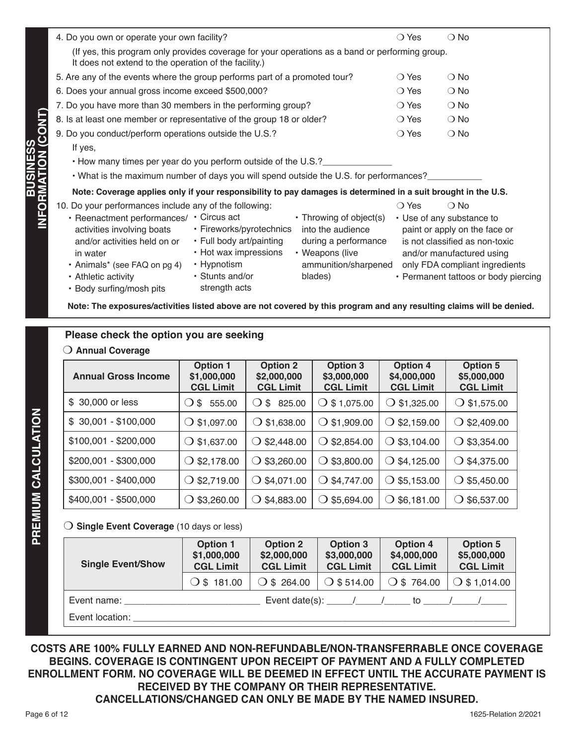|                 | 4. Do you own or operate your own facility?                                                                                                                                                                                                                                                                                         |                                  |                                                  |                                              | $\bigcirc$ Yes                                              | $\bigcirc$ No                                              |  |
|-----------------|-------------------------------------------------------------------------------------------------------------------------------------------------------------------------------------------------------------------------------------------------------------------------------------------------------------------------------------|----------------------------------|--------------------------------------------------|----------------------------------------------|-------------------------------------------------------------|------------------------------------------------------------|--|
|                 | (If yes, this program only provides coverage for your operations as a band or performing group.<br>It does not extend to the operation of the facility.)                                                                                                                                                                            |                                  |                                                  |                                              |                                                             |                                                            |  |
|                 | 5. Are any of the events where the group performs part of a promoted tour?                                                                                                                                                                                                                                                          |                                  |                                                  |                                              | $\bigcirc$ Yes                                              | $\bigcirc$ No                                              |  |
|                 | 6. Does your annual gross income exceed \$500,000?                                                                                                                                                                                                                                                                                  |                                  |                                                  |                                              |                                                             | $\bigcirc$ No                                              |  |
|                 | 7. Do you have more than 30 members in the performing group?                                                                                                                                                                                                                                                                        |                                  |                                                  |                                              |                                                             | $\bigcirc$ No                                              |  |
| <b>GNF</b>      | 8. Is at least one member or representative of the group 18 or older?                                                                                                                                                                                                                                                               |                                  |                                                  |                                              |                                                             | $\bigcirc$ No                                              |  |
|                 | 9. Do you conduct/perform operations outside the U.S.?                                                                                                                                                                                                                                                                              |                                  |                                                  |                                              |                                                             | $\bigcirc$ No                                              |  |
|                 | If yes,                                                                                                                                                                                                                                                                                                                             |                                  |                                                  |                                              |                                                             |                                                            |  |
|                 | . How many times per year do you perform outside of the U.S.?_                                                                                                                                                                                                                                                                      |                                  |                                                  |                                              |                                                             |                                                            |  |
| <b>BUSINESS</b> | . What is the maximum number of days you will spend outside the U.S. for performances?                                                                                                                                                                                                                                              |                                  |                                                  |                                              |                                                             |                                                            |  |
| NFORMATI        | Note: Coverage applies only if your responsibility to pay damages is determined in a suit brought in the U.S.                                                                                                                                                                                                                       |                                  |                                                  |                                              |                                                             |                                                            |  |
|                 | 10. Do your performances include any of the following:                                                                                                                                                                                                                                                                              |                                  |                                                  |                                              | $\bigcirc$ Yes                                              | $\bigcirc$ No                                              |  |
|                 | · Reenactment performances/ · Circus act<br>activities involving boats                                                                                                                                                                                                                                                              | • Fireworks/pyrotechnics         |                                                  | • Throwing of object(s)<br>into the audience |                                                             | • Use of any substance to<br>paint or apply on the face or |  |
|                 | and/or activities held on or                                                                                                                                                                                                                                                                                                        | • Full body art/painting         |                                                  | during a performance                         |                                                             | is not classified as non-toxic                             |  |
|                 | in water                                                                                                                                                                                                                                                                                                                            | • Hot wax impressions            |                                                  | • Weapons (live                              |                                                             | and/or manufactured using                                  |  |
|                 | • Animals* (see FAQ on pg 4)                                                                                                                                                                                                                                                                                                        | • Hypnotism                      |                                                  | ammunition/sharpened                         |                                                             | only FDA compliant ingredients                             |  |
|                 | • Athletic activity<br>• Body surfing/mosh pits                                                                                                                                                                                                                                                                                     | · Stunts and/or<br>strength acts |                                                  | blades)                                      |                                                             | • Permanent tattoos or body piercing                       |  |
|                 | Note: The exposures/activities listed above are not covered by this program and any resulting claims will be denied.                                                                                                                                                                                                                |                                  |                                                  |                                              |                                                             |                                                            |  |
|                 |                                                                                                                                                                                                                                                                                                                                     |                                  |                                                  |                                              |                                                             |                                                            |  |
|                 | Please check the option you are seeking                                                                                                                                                                                                                                                                                             |                                  |                                                  |                                              |                                                             |                                                            |  |
|                 | $\bigcirc$ Annual Coverage                                                                                                                                                                                                                                                                                                          |                                  |                                                  |                                              |                                                             |                                                            |  |
|                 |                                                                                                                                                                                                                                                                                                                                     | <b>Option 1</b>                  | <b>Option 2</b>                                  | <b>Option 3</b>                              | <b>Option 4</b>                                             | <b>Option 5</b>                                            |  |
|                 | <b>Annual Gross Income</b>                                                                                                                                                                                                                                                                                                          | \$1,000,000<br><b>CGL Limit</b>  | \$2,000,000<br><b>CGL Limit</b>                  | \$3,000,000<br><b>CGL Limit</b>              | \$4,000,000<br><b>CGL Limit</b>                             | \$5,000,000<br><b>CGL Limit</b>                            |  |
|                 | \$ 30,000 or less                                                                                                                                                                                                                                                                                                                   | $\bigcirc$ \$ 555.00             | $\bigcirc$ \$ 825.00                             | $\bigcirc$ \$ 1,075.00                       | $\bigcirc$ \$1,325.00                                       | $\bigcirc$ \$1,575.00                                      |  |
| LATION          | $$30,001 - $100,000$                                                                                                                                                                                                                                                                                                                | $\bigcirc$ \$1,097.00            | $\bigcirc$ \$1,638.00                            | $\bigcirc$ \$1,909.00                        | $\bigcirc$ \$2,159.00                                       | $\bigcirc$ \$2,409.00                                      |  |
|                 | \$100,001 - \$200,000                                                                                                                                                                                                                                                                                                               | $\bigcirc$ \$1,637.00            | $\bigcirc$ \$2,448.00                            | $\bigcirc$ \$2,854.00                        | $\bigcirc$ \$3,104.00                                       | $\bigcirc$ \$3,354.00                                      |  |
|                 | \$200,001 - \$300,000                                                                                                                                                                                                                                                                                                               | $\bigcirc$ \$2,178.00            | $\bigcirc$ \$3,260.00                            | $\bigcirc$ \$3,800.00                        | $\bigcirc$ \$4,125.00                                       | $\bigcirc$ \$4,375.00                                      |  |
|                 | \$300,001 - \$400,000                                                                                                                                                                                                                                                                                                               | $\bigcirc$ \$2,719.00            | $\bigcirc$ \$4,071.00                            | $\bigcirc$ \$4,747.00                        | $\bigcirc$ \$5,153.00                                       | $\bigcirc$ \$5,450.00                                      |  |
|                 | \$400,001 - \$500,000                                                                                                                                                                                                                                                                                                               | $\bigcirc$ \$3,260.00            | $\bigcirc$ \$4,883.00                            | $\bigcirc$ \$5,694.00                        | $\bigcirc$ \$6,181.00                                       | $\bigcirc$ \$6,537.00                                      |  |
| PREMIUM CALCU   | $\bigcirc$ Single Event Coverage (10 days or less)                                                                                                                                                                                                                                                                                  |                                  |                                                  |                                              |                                                             |                                                            |  |
|                 |                                                                                                                                                                                                                                                                                                                                     | <b>Option 1</b>                  | <b>Option 2</b>                                  | <b>Option 3</b>                              | <b>Option 4</b>                                             | <b>Option 5</b>                                            |  |
|                 | <b>Single Event/Show</b>                                                                                                                                                                                                                                                                                                            | \$1,000,000                      | \$2,000,000                                      | \$3,000,000                                  | \$4,000,000                                                 | \$5,000,000                                                |  |
|                 |                                                                                                                                                                                                                                                                                                                                     | <b>CGL Limit</b>                 | <b>CGL Limit</b><br>$\bigcirc$ \$ 264.00         | <b>CGL Limit</b>                             | <b>CGL Limit</b><br>$O$ \$ 764.00                           | <b>CGL Limit</b>                                           |  |
|                 |                                                                                                                                                                                                                                                                                                                                     | $O$ \$ 181.00                    |                                                  | $\bigcirc$ \$ 514.00                         |                                                             | $\bigcirc$ \$ 1,014.00                                     |  |
|                 |                                                                                                                                                                                                                                                                                                                                     |                                  |                                                  |                                              | Event date(s): $\frac{1}{\sqrt{2}}$ to $\frac{1}{\sqrt{2}}$ |                                                            |  |
|                 | Event location: Event with the state of the state of the state of the state of the state of the state of the state of the state of the state of the state of the state of the state of the state of the state of the state of                                                                                                       |                                  |                                                  |                                              |                                                             |                                                            |  |
|                 | <b>COSTS ARE 100% FULLY EARNED AND NON-REFUNDABLE/NON-TRANSFERRABLE ONCE COVERAGE</b><br>BEGINS. COVERAGE IS CONTINGENT UPON RECEIPT OF PAYMENT AND A FULLY COMPLETED<br>ENROLLMENT FORM. NO COVERAGE WILL BE DEEMED IN EFFECT UNTIL THE ACCURATE PAYMENT IS<br><b>CANCELLATIONS/CHANGED CAN ONLY BE MADE BY THE NAMED INSURED.</b> |                                  | RECEIVED BY THE COMPANY OR THEIR REPRESENTATIVE. |                                              |                                                             |                                                            |  |
| Page 6 of 12    |                                                                                                                                                                                                                                                                                                                                     |                                  |                                                  |                                              |                                                             | 1625-Relation 2/2021                                       |  |

### **Please check the option you are seeking**

#### $\bigcirc$  Annual Coverage

| <b>Annual Gross Income</b> | <b>Option 1</b><br>\$1,000,000<br><b>CGL Limit</b> | <b>Option 2</b><br>\$2,000,000<br><b>CGL Limit</b> | <b>Option 3</b><br>\$3,000,000<br><b>CGL Limit</b> | <b>Option 4</b><br>\$4,000,000<br><b>CGL Limit</b> | <b>Option 5</b><br>\$5,000,000<br><b>CGL Limit</b> |
|----------------------------|----------------------------------------------------|----------------------------------------------------|----------------------------------------------------|----------------------------------------------------|----------------------------------------------------|
| \$ 30,000 or less          | 555.00<br>\$                                       | 825.00<br>\$                                       | $O$ \$ 1,075.00                                    | $\bigcirc$ \$1,325.00                              | $\bigcirc$ \$1,575.00                              |
| $$30,001 - $100,000$       | \$1,097.00                                         | $\bigcirc$ \$1,638.00                              | $\bigcirc$ \$1,909.00                              | \$2,159.00<br>$\cup$                               | $\bigcirc$ \$2,409.00                              |
| $$100,001 - $200,000$      | \$1,637.00<br>$\mathbf{\Omega}$                    | $\bigcirc$ \$2,448.00                              | $\bigcirc$ \$2,854.00                              | $\bigcirc$ \$3,104.00                              | $\bigcirc$ \$3,354.00                              |
| \$200,001 - \$300,000      | \$2,178.00                                         | $\bigcirc$ \$3,260.00                              | \$3,800.00<br>$\cup$                               | \$4,125.00<br>$\mathbf{\Omega}$                    | $\bigcirc$ \$4,375.00                              |
| \$300,001 - \$400,000      | \$2,719.00                                         | $\bigcirc$ \$4,071.00                              | $\bigcirc$ \$4,747.00                              | $\bigcirc$ \$5,153.00                              | $\bigcirc$ \$5,450.00                              |
| \$400,001 - \$500,000      | \$3,260.00                                         | \$4,883.00                                         | \$5,694.00<br>$\left( \quad \right)$               | \$6,181.00<br>$\bigcirc$                           | $\bigcirc$ \$6,537.00                              |

#### m **Single Event Coverage** (10 days or less)

| <b>Single Event/Show</b> | <b>Option 1</b><br>\$1,000,000<br><b>CGL Limit</b> | <b>Option 2</b><br>\$2,000,000<br><b>CGL Limit</b> | <b>Option 3</b><br>\$3,000,000<br><b>CGL Limit</b> | <b>Option 4</b><br>\$4,000,000<br><b>CGL Limit</b> | <b>Option 5</b><br>\$5,000,000<br><b>CGL Limit</b> |
|--------------------------|----------------------------------------------------|----------------------------------------------------|----------------------------------------------------|----------------------------------------------------|----------------------------------------------------|
|                          | $O$ \$ 181.00                                      | $\bigcirc$ \$ 264.00                               | $\bigcirc$ \$ 514.00                               | $O$ \$ 764.00                                      | $\bigcirc$ \$ 1,014.00                             |
| Event name:              |                                                    | Event date(s): $\frac{1}{2}$                       |                                                    | to /                                               |                                                    |
| Event location:          |                                                    |                                                    |                                                    |                                                    |                                                    |
|                          |                                                    |                                                    |                                                    |                                                    |                                                    |

# **COSTS ARE 100% FULLY EARNED AND NON-REFUNDABLE/NON-TRANSFERRABLE ONCE COVERAGE BEGINS. COVERAGE IS CONTINGENT UPON RECEIPT OF PAYMENT AND A FULLY COMPLETED ENROLLMENT FORM. NO COVERAGE WILL BE DEEMED IN EFFECT UNTIL THE ACCURATE PAYMENT IS RECEIVED BY THE COMPANY OR THEIR REPRESENTATIVE. CANCELLATIONS/CHANGED CAN ONLY BE MADE BY THE NAMED INSURED.**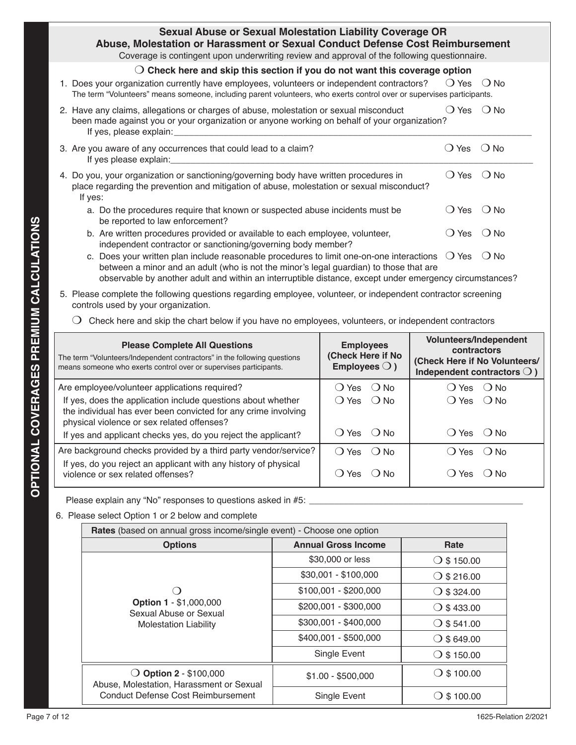| Sexual Abuse or Sexual Molestation Liability Coverage OR |
|----------------------------------------------------------|
|                                                          |

**Abuse, Molestation or Harassment or Sexual Conduct Defense Cost Reimbursement** Coverage is contingent upon underwriting review and approval of the following questionnaire.

### m **Check here and skip this section if you do not want this coverage option**

- 1. Does your organization currently have employees, volunteers or independent contractors?  $\Box$  Yes  $\Box$  No The term "Volunteers" means someone, including parent volunteers, who exerts control over or supervises participants.
- 2. Have any claims, allegations or charges of abuse, molestation or sexual misconduct  $\bigcirc$  Yes  $\bigcirc$  No been made against you or your organization or anyone working on behalf of your organization? If yes, please explain:
- 3. Are you aware of any occurrences that could lead to a claim?  $O$  Yes  $O$  No If yes please explain: 4. Do you, your organization or sanctioning/governing body have written procedures in  $O$  Yes  $O$  No place regarding the prevention and mitigation of abuse, molestation or sexual misconduct? If yes: a. Do the procedures require that known or suspected abuse incidents must be  $\Box$  Yes  $\Box$  No be reported to law enforcement? b. Are written procedures provided or available to each employee, volunteer,  $\bigcirc$  Yes  $\bigcirc$  No independent contractor or sanctioning/governing body member?
	- c. Does your written plan include reasonable procedures to limit one-on-one interactions  $\bigcirc$  Yes  $\bigcirc$  No between a minor and an adult (who is not the minor's legal guardian) to those that are observable by another adult and within an interruptible distance, except under emergency circumstances?
- 5. Please complete the following questions regarding employee, volunteer, or independent contractor screening controls used by your organization.
	- $\bigcirc$  Check here and skip the chart below if you have no employees, volunteers, or independent contractors

| <b>Please Complete All Questions</b><br>The term "Volunteers/Independent contractors" in the following questions<br>means someone who exerts control over or supervises participants. | <b>Employees</b><br>(Check Here if No<br>Employees $\bigcirc$ ) | <b>Volunteers/Independent</b><br>contractors<br>(Check Here if No Volunteers/<br>Independent contractors $\bigcirc$ ) |  |
|---------------------------------------------------------------------------------------------------------------------------------------------------------------------------------------|-----------------------------------------------------------------|-----------------------------------------------------------------------------------------------------------------------|--|
| Are employee/volunteer applications required?                                                                                                                                         | () Yes () No                                                    | () Yes () No                                                                                                          |  |
| If yes, does the application include questions about whether<br>the individual has ever been convicted for any crime involving<br>physical violence or sex related offenses?          | $() Yes$ $() No$                                                |                                                                                                                       |  |
| If yes and applicant checks yes, do you reject the applicant?                                                                                                                         | $()$ Yes $()$ No                                                | $O Yes$ $O No$                                                                                                        |  |
| Are background checks provided by a third party vendor/service?                                                                                                                       | $OYes$ $ONO$                                                    | ◯ Yes<br>( ) No                                                                                                       |  |
| If yes, do you reject an applicant with any history of physical<br>violence or sex related offenses?                                                                                  | $\bigcirc$ Yes<br>( ) N∩                                        | y Yes<br>ີ ) N∩                                                                                                       |  |

Please explain any "No" responses to questions asked in #5:

#### 6. Please select Option 1 or 2 below and complete

| Rates (based on annual gross income/single event) - Choose one option                   |                       |                                |  |  |
|-----------------------------------------------------------------------------------------|-----------------------|--------------------------------|--|--|
| <b>Annual Gross Income</b><br><b>Options</b><br>Rate                                    |                       |                                |  |  |
| <b>Option 1 - \$1,000,000</b><br>Sexual Abuse or Sexual<br><b>Molestation Liability</b> | \$30,000 or less      | \$150.00<br>$\left( \ \right)$ |  |  |
|                                                                                         | \$30,001 - \$100,000  | $\bigcirc$ \$ 216.00           |  |  |
|                                                                                         | \$100,001 - \$200,000 | $\bigcirc$ \$ 324.00           |  |  |
|                                                                                         | \$200,001 - \$300,000 | $\bigcirc$ \$ 433.00           |  |  |
|                                                                                         | \$300,001 - \$400,000 | $\bigcirc$ \$ 541.00           |  |  |
|                                                                                         | \$400,001 - \$500,000 | \$649.00<br>$\Box$             |  |  |
|                                                                                         | Single Event          | $\bigcirc$ \$ 150.00           |  |  |
| $\bigcirc$ Option 2 - \$100,000<br>Abuse, Molestation, Harassment or Sexual             | $$1.00 - $500,000$    | $\bigcirc$ \$ 100.00           |  |  |
| Conduct Defense Cost Reimbursement                                                      | Single Event          | \$100.00                       |  |  |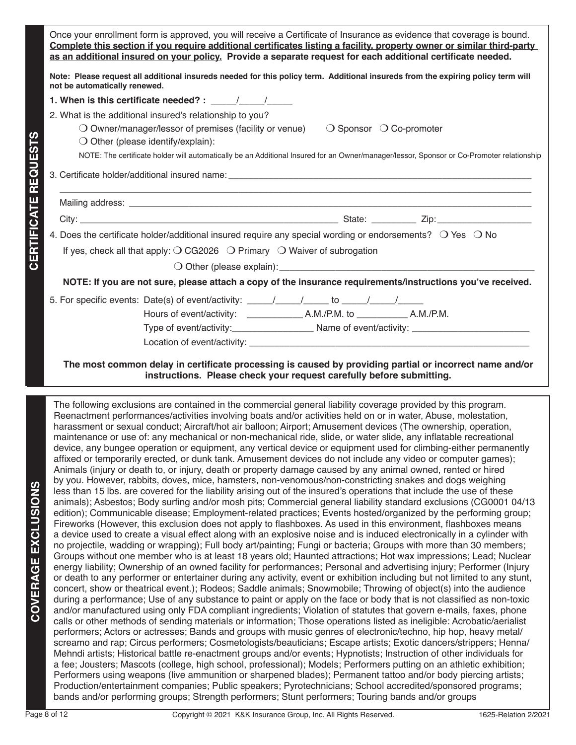| Once your enrollment form is approved, you will receive a Certificate of Insurance as evidence that coverage is bound.<br>Complete this section if you require additional certificates listing a facility, property owner or similar third-party<br>as an additional insured on your policy. Provide a separate request for each additional certificate needed.                                                   |
|-------------------------------------------------------------------------------------------------------------------------------------------------------------------------------------------------------------------------------------------------------------------------------------------------------------------------------------------------------------------------------------------------------------------|
| Note: Please request all additional insureds needed for this policy term. Additional insureds from the expiring policy term will<br>not be automatically renewed.                                                                                                                                                                                                                                                 |
| 1. When is this certificate needed? : $\frac{1}{\frac{1}{2} \cdot \frac{1}{2} \cdot \frac{1}{2} \cdot \frac{1}{2} \cdot \frac{1}{2} \cdot \frac{1}{2} \cdot \frac{1}{2} \cdot \frac{1}{2} \cdot \frac{1}{2} \cdot \frac{1}{2} \cdot \frac{1}{2} \cdot \frac{1}{2} \cdot \frac{1}{2} \cdot \frac{1}{2} \cdot \frac{1}{2} \cdot \frac{1}{2} \cdot \frac{1}{2} \cdot \frac{1}{2} \cdot \frac{1}{2} \cdot \frac{1}{2$ |
| 2. What is the additional insured's relationship to you?                                                                                                                                                                                                                                                                                                                                                          |
| $\bigcirc$ Owner/manager/lessor of premises (facility or venue)<br>$\bigcirc$ Sponsor $\bigcirc$ Co-promoter<br>$\bigcirc$ Other (please identify/explain):                                                                                                                                                                                                                                                       |
| NOTE: The certificate holder will automatically be an Additional Insured for an Owner/manager/lessor, Sponsor or Co-Promoter relationship                                                                                                                                                                                                                                                                         |
| 3. Certificate holder/additional insured name: example and all the state of the state of the state of the state of the state of the state of the state of the state of the state of the state of the state of the state of the                                                                                                                                                                                    |
|                                                                                                                                                                                                                                                                                                                                                                                                                   |
|                                                                                                                                                                                                                                                                                                                                                                                                                   |
| 4. Does the certificate holder/additional insured require any special wording or endorsements? O Yes O No                                                                                                                                                                                                                                                                                                         |
| If yes, check all that apply: $\bigcirc$ CG2026 $\bigcirc$ Primary $\bigcirc$ Waiver of subrogation                                                                                                                                                                                                                                                                                                               |
|                                                                                                                                                                                                                                                                                                                                                                                                                   |
| NOTE: If you are not sure, please attach a copy of the insurance requirements/instructions you've received.                                                                                                                                                                                                                                                                                                       |
|                                                                                                                                                                                                                                                                                                                                                                                                                   |
|                                                                                                                                                                                                                                                                                                                                                                                                                   |
|                                                                                                                                                                                                                                                                                                                                                                                                                   |
|                                                                                                                                                                                                                                                                                                                                                                                                                   |
| The most common delay in certificate processing is caused by providing partial or incorrect name and/or<br>instructions. Please check your request carefully before submitting.                                                                                                                                                                                                                                   |
| The following exclusions are contained in the commercial general liability coverage provided by this program.<br>Reenactment performances/activities involving boats and/or activities held on or in water, Abuse, molestation,<br>harassment or sexual conduct; Aircraft/hot air balloon; Airport; Amusement devices (The ownership, operation,                                                                  |

**CERTIFICATE REQUESTS**

**CERTIFICATE REQUESTS** 

Pay softworce, theoreto, the control in the mate of the insural solenations and comparison in the use of these and the set of the set of the set of the liability anising out of the insured soperations that include the use harassment or sexual conduct; Aircraft/hot air balloon; Airport; Amusement devices (The ownership, operation, maintenance or use of: any mechanical or non-mechanical ride, slide, or water slide, any inflatable recreational device, any bungee operation or equipment, any vertical device or equipment used for climbing-either permanently affixed or temporarily erected, or dunk tank. Amusement devices do not include any video or computer games); Animals (injury or death to, or injury, death or property damage caused by any animal owned, rented or hired by you. However, rabbits, doves, mice, hamsters, non-venomous/non-constricting snakes and dogs weighing less than 15 lbs. are covered for the liability arising out of the insured's operations that include the use of these animals); Asbestos; Body surfing and/or mosh pits; Commercial general liability standard exclusions (CG0001 04/13 edition); Communicable disease; Employment-related practices; Events hosted/organized by the performing group; Fireworks (However, this exclusion does not apply to flashboxes. As used in this environment, flashboxes means a device used to create a visual effect along with an explosive noise and is induced electronically in a cylinder with no projectile, wadding or wrapping); Full body art/painting; Fungi or bacteria; Groups with more than 30 members; Groups without one member who is at least 18 years old; Haunted attractions; Hot wax impressions; Lead; Nuclear energy liability; Ownership of an owned facility for performances; Personal and advertising injury; Performer (Injury or death to any performer or entertainer during any activity, event or exhibition including but not limited to any stunt, concert, show or theatrical event.); Rodeos; Saddle animals; Snowmobile; Throwing of object(s) into the audience during a performance; Use of any substance to paint or apply on the face or body that is not classified as non-toxic and/or manufactured using only FDA compliant ingredients; Violation of statutes that govern e-mails, faxes, phone calls or other methods of sending materials or information; Those operations listed as ineligible: Acrobatic/aerialist performers; Actors or actresses; Bands and groups with music genres of electronic/techno, hip hop, heavy metal/ screamo and rap; Circus performers; Cosmetologists/beauticians; Escape artists; Exotic dancers/strippers; Henna/ Mehndi artists; Historical battle re-enactment groups and/or events; Hypnotists; Instruction of other individuals for a fee; Jousters; Mascots (college, high school, professional); Models; Performers putting on an athletic exhibition; Performers using weapons (live ammunition or sharpened blades); Permanent tattoo and/or body piercing artists; Production/entertainment companies; Public speakers; Pyrotechnicians; School accredited/sponsored programs; bands and/or performing groups; Strength performers; Stunt performers; Touring bands and/or groups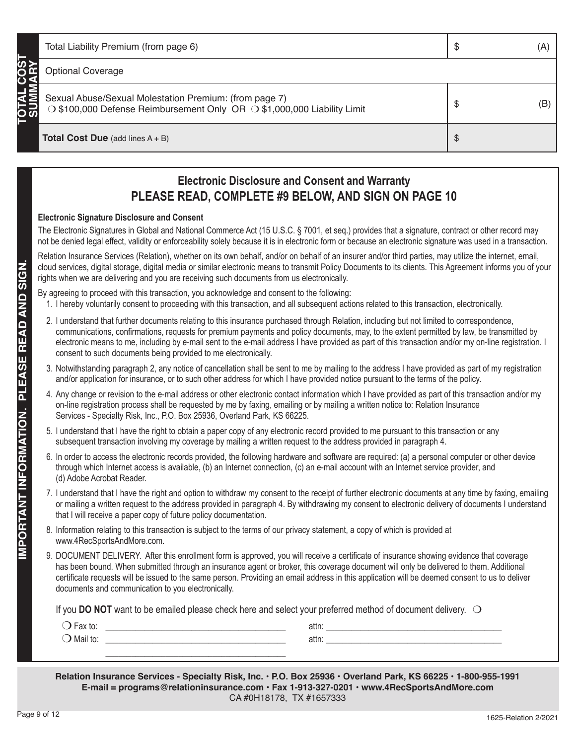|     | <b>Total Cost Due</b> (add lines $A + B$ )                                                                                        | \$        |
|-----|-----------------------------------------------------------------------------------------------------------------------------------|-----------|
| ) ທ | Sexual Abuse/Sexual Molestation Premium: (from page 7)<br>○ \$100,000 Defense Reimbursement Only OR ○ \$1,000,000 Liability Limit | \$<br>(B) |
|     | <b>Optional Coverage</b>                                                                                                          |           |
|     | Total Liability Premium (from page 6)                                                                                             | \$<br>(A) |

# **Electronic Disclosure and Consent and Warranty PLEASE READ, COMPLETE #9 BELOW, AND SIGN ON PAGE 10**

### **Electronic Signature Disclosure and Consent**

The Electronic Signatures in Global and National Commerce Act (15 U.S.C. § 7001, et seq.) provides that a signature, contract or other record may not be denied legal effect, validity or enforceability solely because it is in electronic form or because an electronic signature was used in a transaction.

Relation Insurance Services (Relation), whether on its own behalf, and/or on behalf of an insurer and/or third parties, may utilize the internet, email, cloud services, digital storage, digital media or similar electronic means to transmit Policy Documents to its clients. This Agreement informs you of your rights when we are delivering and you are receiving such documents from us electronically.

- By agreeing to proceed with this transaction, you acknowledge and consent to the following:
- 1. I hereby voluntarily consent to proceeding with this transaction, and all subsequent actions related to this transaction, electronically.
- 2. I understand that further documents relating to this insurance purchased through Relation, including but not limited to correspondence, communications, confirmations, requests for premium payments and policy documents, may, to the extent permitted by law, be transmitted by electronic means to me, including by e-mail sent to the e-mail address I have provided as part of this transaction and/or my on-line registration. I consent to such documents being provided to me electronically.
- 3. Notwithstanding paragraph 2, any notice of cancellation shall be sent to me by mailing to the address I have provided as part of my registration and/or application for insurance, or to such other address for which I have provided notice pursuant to the terms of the policy.
- 4. Any change or revision to the e-mail address or other electronic contact information which I have provided as part of this transaction and/or my on-line registration process shall be requested by me by faxing, emailing or by mailing a written notice to: Relation Insurance Services - Specialty Risk, Inc., P.O. Box 25936, Overland Park, KS 66225.
- 5. I understand that I have the right to obtain a paper copy of any electronic record provided to me pursuant to this transaction or any subsequent transaction involving my coverage by mailing a written request to the address provided in paragraph 4.
- 6. In order to access the electronic records provided, the following hardware and software are required: (a) a personal computer or other device through which Internet access is available, (b) an Internet connection, (c) an e-mail account with an Internet service provider, and (d) Adobe Acrobat Reader.
- 7. I understand that I have the right and option to withdraw my consent to the receipt of further electronic documents at any time by faxing, emailing or mailing a written request to the address provided in paragraph 4. By withdrawing my consent to electronic delivery of documents I understand that I will receive a paper copy of future policy documentation.
- 8. Information relating to this transaction is subject to the terms of our privacy statement, a copy of which is provided at www.4RecSportsAndMore.com.
- 9. DOCUMENT DELIVERY. After this enrollment form is approved, you will receive a certificate of insurance showing evidence that coverage has been bound. When submitted through an insurance agent or broker, this coverage document will only be delivered to them. Additional certificate requests will be issued to the same person. Providing an email address in this application will be deemed consent to us to deliver documents and communication to you electronically.

If you **DO NOT** want to be emailed please check here and select your preferred method of document delivery.  $\bigcirc$ 

| $L \cap V$ to:<br>⊤αχ ιυ.<br>$\overline{\phantom{0}}$ | attn: |  |
|-------------------------------------------------------|-------|--|
| <b>B</b> <i>B</i><br>Mail to                          | attn  |  |
|                                                       |       |  |

**Relation Insurance Services - Specialty Risk, Inc. • P.O. Box 25936 • Overland Park, KS 66225 • 1-800-955-1991 E-mail = programs@relationinsurance.com • Fax 1-913-327-0201 • www.4RecSportsAndMore.com** CA #0H18178, TX #1657333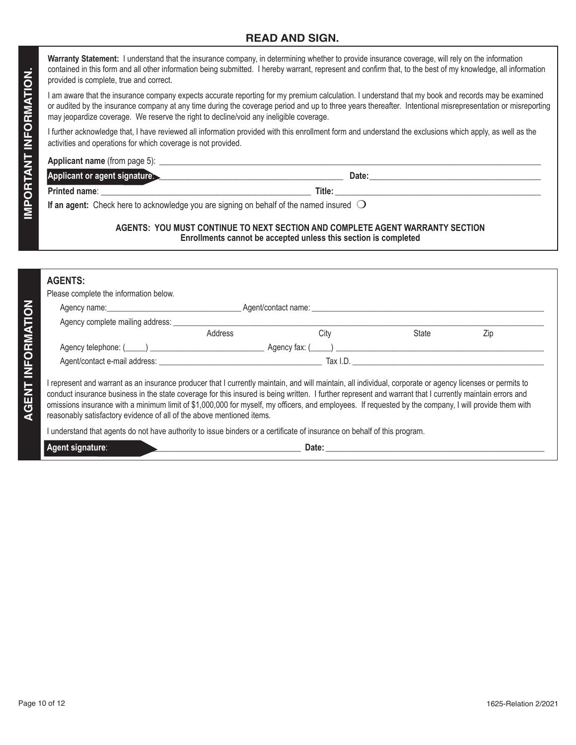# **READ AND SIGN.**

**Warranty Statement:** I understand that the insurance company, in determining whether to provide insurance coverage, will rely on the information contained in this form and all other information being submitted. I hereby warrant, represent and confirm that, to the best of my knowledge, all information provided is complete, true and correct.

| Applicant name (from page 5) |      |
|------------------------------|------|
| repplicant or agence         | Date |

#### **AGENTS: YOU MUST CONTINUE TO NEXT SECTION AND COMPLETE AGENT WARRANTY SECTION Enrollments cannot be accepted unless this section is completed**

### **AGENTS:**

| <b>IMPORTANT INFORMATION.</b> | contained in this form and all other information being submitted. I hereby warrant, represent and confirm that, to the best of my knowledge, all information<br>provided is complete, true and correct.<br>I am aware that the insurance company expects accurate reporting for my premium calculation. I understand that my book and records may be examined<br>or audited by the insurance company at any time during the coverage period and up to three years thereafter. Intentional misrepresentation or misreporting<br>may jeopardize coverage. We reserve the right to decline/void any ineligible coverage. |         |                                                                                                                                                  |       |                      |  |
|-------------------------------|-----------------------------------------------------------------------------------------------------------------------------------------------------------------------------------------------------------------------------------------------------------------------------------------------------------------------------------------------------------------------------------------------------------------------------------------------------------------------------------------------------------------------------------------------------------------------------------------------------------------------|---------|--------------------------------------------------------------------------------------------------------------------------------------------------|-------|----------------------|--|
|                               | I further acknowledge that, I have reviewed all information provided with this enrollment form and understand the exclusions which apply, as well as the<br>activities and operations for which coverage is not provided.                                                                                                                                                                                                                                                                                                                                                                                             |         |                                                                                                                                                  |       |                      |  |
|                               |                                                                                                                                                                                                                                                                                                                                                                                                                                                                                                                                                                                                                       |         |                                                                                                                                                  |       |                      |  |
|                               | Applicant or agent signature. And the contract of the contract of the contract of the contract or agent signature.                                                                                                                                                                                                                                                                                                                                                                                                                                                                                                    |         |                                                                                                                                                  |       |                      |  |
|                               |                                                                                                                                                                                                                                                                                                                                                                                                                                                                                                                                                                                                                       |         |                                                                                                                                                  |       |                      |  |
|                               | If an agent: Check here to acknowledge you are signing on behalf of the named insured $\bigcirc$                                                                                                                                                                                                                                                                                                                                                                                                                                                                                                                      |         |                                                                                                                                                  |       |                      |  |
|                               |                                                                                                                                                                                                                                                                                                                                                                                                                                                                                                                                                                                                                       |         | AGENTS: YOU MUST CONTINUE TO NEXT SECTION AND COMPLETE AGENT WARRANTY SECTION<br>Enrollments cannot be accepted unless this section is completed |       |                      |  |
|                               | <b>AGENTS:</b><br>Please complete the information below.                                                                                                                                                                                                                                                                                                                                                                                                                                                                                                                                                              |         |                                                                                                                                                  |       |                      |  |
|                               |                                                                                                                                                                                                                                                                                                                                                                                                                                                                                                                                                                                                                       |         |                                                                                                                                                  |       |                      |  |
|                               |                                                                                                                                                                                                                                                                                                                                                                                                                                                                                                                                                                                                                       | Address | City                                                                                                                                             | State | Zip                  |  |
|                               |                                                                                                                                                                                                                                                                                                                                                                                                                                                                                                                                                                                                                       |         |                                                                                                                                                  |       |                      |  |
|                               |                                                                                                                                                                                                                                                                                                                                                                                                                                                                                                                                                                                                                       |         |                                                                                                                                                  |       |                      |  |
| <b>AGENT INFORMATION</b>      | I represent and warrant as an insurance producer that I currently maintain, and will maintain, all individual, corporate or agency licenses or permits to<br>conduct insurance business in the state coverage for this insured is being written. I further represent and warrant that I currently maintain errors and<br>omissions insurance with a minimum limit of \$1,000,000 for myself, my officers, and employees. If requested by the company, I will provide them with<br>reasonably satisfactory evidence of all of the above mentioned items.                                                               |         |                                                                                                                                                  |       |                      |  |
|                               | I understand that agents do not have authority to issue binders or a certificate of insurance on behalf of this program.                                                                                                                                                                                                                                                                                                                                                                                                                                                                                              |         |                                                                                                                                                  |       |                      |  |
|                               | Agent signature:                                                                                                                                                                                                                                                                                                                                                                                                                                                                                                                                                                                                      |         | Date: Date: 2004. [2015] Date:                                                                                                                   |       |                      |  |
|                               |                                                                                                                                                                                                                                                                                                                                                                                                                                                                                                                                                                                                                       |         |                                                                                                                                                  |       |                      |  |
|                               | Page 10 of 12                                                                                                                                                                                                                                                                                                                                                                                                                                                                                                                                                                                                         |         |                                                                                                                                                  |       | 1625-Relation 2/2021 |  |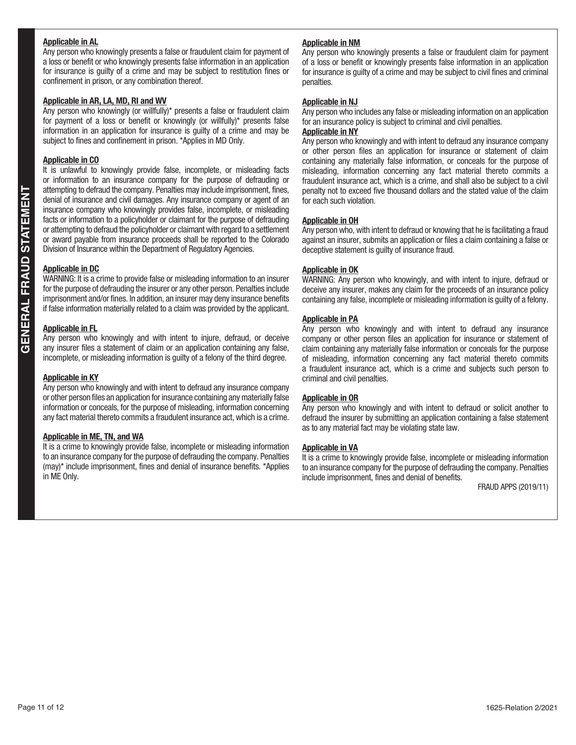#### **Applicable in AL**

Any person who knowingly presents a false or fraudulent claim for payment of a loss or benefit or who knowingly presents false information in an application for insurance is guilty of a crime and may be subject to restitution fines or confinement in prison, or any combination thereof.

#### **Applicable in AR, LA, MD, RI and WV**

Any person who knowingly (or willfully)\* presents a false or fraudulent claim for payment of a loss or benefit or knowingly (or willfully)\* presents false information in an application for insurance is guilty of a crime and may be subject to fines and confinement in prison. \*Applies in MD Only.

#### **Applicable in CO**

It is unlawful to knowingly provide false, incomplete, or misleading facts or information to an insurance company for the purpose of defrauding or attempting to defraud the company. Penalties may include imprisonment, fines, denial of insurance and civil damages. Any insurance company or agent of an insurance company who knowingly provides false, incomplete, or misleading facts or information to a policyholder or claimant for the purpose of defrauding or attempting to defraud the policyholder or claimant with regard to a settlement or award payable from insurance proceeds shall be reported to the Colorado Division of Insurance within the Department of Regulatory Agencies.

#### **Applicable in DC**

WARNING: It is a crime to provide false or misleading information to an insurer for the purpose of defrauding the insurer or any other person. Penalties include imprisonment and/or fines. In addition, an insurer may deny insurance benefits if false information materially related to a claim was provided by the applicant.

#### **Applicable in FL**

Any person who knowingly and with intent to injure, defraud, or deceive any insurer files a statement of claim or an application containing any false, incomplete, or misleading information is guilty of a felony of the third degree.

#### **Applicable in KY**

Any person who knowingly and with intent to defraud any insurance company or other person files an application for insurance containing any materially false information or conceals, for the purpose of misleading, information concerning any fact material thereto commits a fraudulent insurance act, which is a crime.

#### **Applicable in ME, TN, and WA**

It is a crime to knowingly provide false, incomplete or misleading information to an insurance company for the purpose of defrauding the company. Penalties (may)\* include imprisonment, fines and denial of insurance benefits. \*Applies in ME Only.

#### **Applicable in NM**

Any person who knowingly presents a false or fraudulent claim for payment of a loss or benefit or knowingly presents false information in an application for insurance is guilty of a crime and may be subject to civil fines and criminal penalties.

#### **Applicable in NJ**

Any person who includes any false or misleading information on an application for an insurance policy is subject to criminal and civil penalties.

#### **Applicable in NY**

Any person who knowingly and with intent to defraud any insurance company or other person files an application for insurance or statement of claim containing any materially false information, or conceals for the purpose of misleading, information concerning any fact material thereto commits a fraudulent insurance act, which is a crime, and shall also be subject to a civil penalty not to exceed five thousand dollars and the stated value of the claim for each such violation.

#### **Applicable in OH**

Any person who, with intent to defraud or knowing that he is facilitating a fraud against an insurer, submits an application or files a claim containing a false or deceptive statement is guilty of insurance fraud.

#### **Applicable in OK**

WARNING: Any person who knowingly, and with intent to injure, defraud or deceive any insurer, makes any claim for the proceeds of an insurance policy containing any false, incomplete or misleading information is guilty of a felony.

#### **Applicable in PA**

Any person who knowingly and with intent to defraud any insurance company or other person files an application for insurance or statement of claim containing any materially false information or conceals for the purpose of misleading, information concerning any fact material thereto commits a fraudulent insurance act, which is a crime and subjects such person to criminal and civil penalties.

#### **Applicable in OR**

Any person who knowingly and with intent to defraud or solicit another to defraud the insurer by submitting an application containing a false statement as to any material fact may be violating state law.

#### **Applicable in VA**

It is a crime to knowingly provide false, incomplete or misleading information to an insurance company for the purpose of defrauding the company. Penalties include imprisonment, fines and denial of benefits.

FRAUD APPS (2019/11)